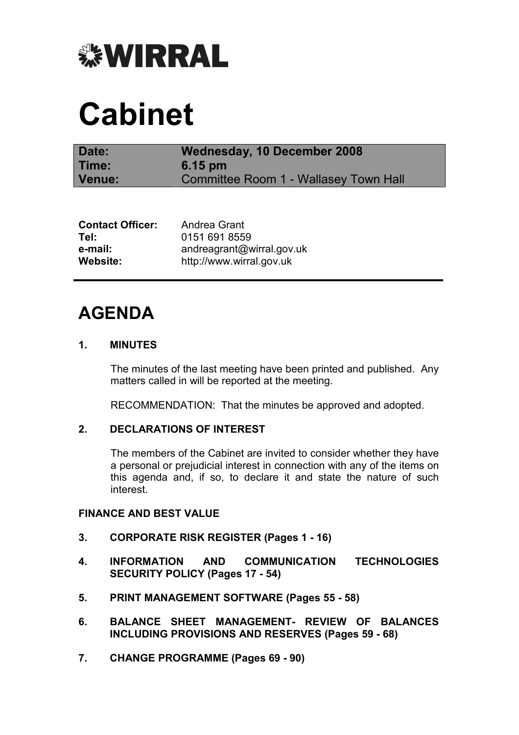

# Cabinet

| Date:  | Wednesday, 10 December 2008           |
|--------|---------------------------------------|
| Time:  | $6.15 \text{ pm}$                     |
| Venue: | Committee Room 1 - Wallasey Town Hall |

| <b>Contact Officer:</b> | Andrea Grant              |
|-------------------------|---------------------------|
| Tel:                    | 0151 691 8559             |
| e-mail:                 | andreagrant@wirral.gov.uk |
| Website:                | http://www.wirral.gov.uk  |

# AGENDA

# 1. MINUTES

 The minutes of the last meeting have been printed and published. Any matters called in will be reported at the meeting.

RECOMMENDATION: That the minutes be approved and adopted.

# 2. DECLARATIONS OF INTEREST

 The members of the Cabinet are invited to consider whether they have a personal or prejudicial interest in connection with any of the items on this agenda and, if so, to declare it and state the nature of such interest.

#### FINANCE AND BEST VALUE

- 3. CORPORATE RISK REGISTER (Pages 1 16)
- 4. INFORMATION AND COMMUNICATION TECHNOLOGIES SECURITY POLICY (Pages 17 - 54)
- 5. PRINT MANAGEMENT SOFTWARE (Pages 55 58)
- 6. BALANCE SHEET MANAGEMENT- REVIEW OF BALANCES INCLUDING PROVISIONS AND RESERVES (Pages 59 - 68)
- 7. CHANGE PROGRAMME (Pages 69 90)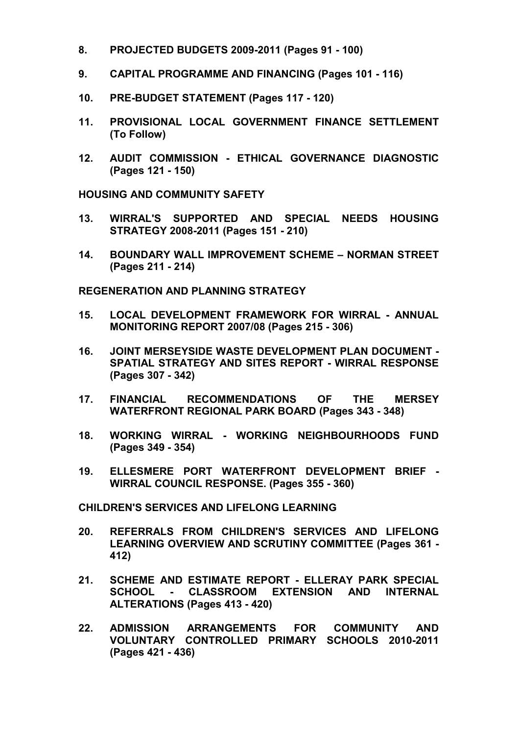- 8. PROJECTED BUDGETS 2009-2011 (Pages 91 100)
- 9. CAPITAL PROGRAMME AND FINANCING (Pages 101 116)
- 10. PRE-BUDGET STATEMENT (Pages 117 120)
- 11. PROVISIONAL LOCAL GOVERNMENT FINANCE SETTLEMENT (To Follow)
- 12. AUDIT COMMISSION ETHICAL GOVERNANCE DIAGNOSTIC (Pages 121 - 150)

HOUSING AND COMMUNITY SAFETY

- 13. WIRRAL'S SUPPORTED AND SPECIAL NEEDS HOUSING STRATEGY 2008-2011 (Pages 151 - 210)
- 14. BOUNDARY WALL IMPROVEMENT SCHEME NORMAN STREET (Pages 211 - 214)

REGENERATION AND PLANNING STRATEGY

- 15. LOCAL DEVELOPMENT FRAMEWORK FOR WIRRAL ANNUAL MONITORING REPORT 2007/08 (Pages 215 - 306)
- 16. JOINT MERSEYSIDE WASTE DEVELOPMENT PLAN DOCUMENT SPATIAL STRATEGY AND SITES REPORT - WIRRAL RESPONSE (Pages 307 - 342)
- 17. FINANCIAL RECOMMENDATIONS OF THE MERSEY WATERFRONT REGIONAL PARK BOARD (Pages 343 - 348)
- 18. WORKING WIRRAL WORKING NEIGHBOURHOODS FUND (Pages 349 - 354)
- 19. ELLESMERE PORT WATERFRONT DEVELOPMENT BRIEF WIRRAL COUNCIL RESPONSE. (Pages 355 - 360)

CHILDREN'S SERVICES AND LIFELONG LEARNING

- 20. REFERRALS FROM CHILDREN'S SERVICES AND LIFELONG LEARNING OVERVIEW AND SCRUTINY COMMITTEE (Pages 361 - 412)
- 21. SCHEME AND ESTIMATE REPORT ELLERAY PARK SPECIAL SCHOOL - CLASSROOM EXTENSION AND INTERNAL ALTERATIONS (Pages 413 - 420)
- 22. ADMISSION ARRANGEMENTS FOR COMMUNITY AND VOLUNTARY CONTROLLED PRIMARY SCHOOLS 2010-2011 (Pages 421 - 436)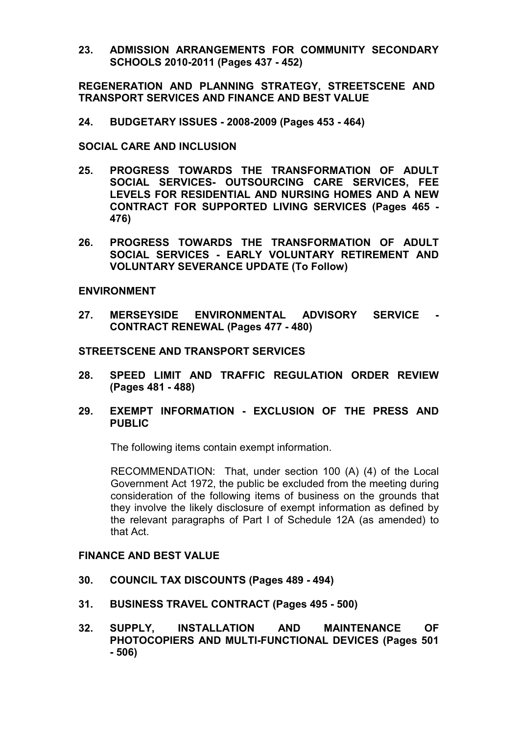23. ADMISSION ARRANGEMENTS FOR COMMUNITY SECONDARY SCHOOLS 2010-2011 (Pages 437 - 452)

REGENERATION AND PLANNING STRATEGY, STREETSCENE AND TRANSPORT SERVICES AND FINANCE AND BEST VALUE

24. BUDGETARY ISSUES - 2008-2009 (Pages 453 - 464)

SOCIAL CARE AND INCLUSION

- 25. PROGRESS TOWARDS THE TRANSFORMATION OF ADULT SOCIAL SERVICES- OUTSOURCING CARE SERVICES, FEE LEVELS FOR RESIDENTIAL AND NURSING HOMES AND A NEW CONTRACT FOR SUPPORTED LIVING SERVICES (Pages 465 - 476)
- 26. PROGRESS TOWARDS THE TRANSFORMATION OF ADULT SOCIAL SERVICES - EARLY VOLUNTARY RETIREMENT AND VOLUNTARY SEVERANCE UPDATE (To Follow)

#### ENVIRONMENT

27. MERSEYSIDE ENVIRONMENTAL ADVISORY SERVICE - CONTRACT RENEWAL (Pages 477 - 480)

#### STREETSCENE AND TRANSPORT SERVICES

- 28. SPEED LIMIT AND TRAFFIC REGULATION ORDER REVIEW (Pages 481 - 488)
- 29. EXEMPT INFORMATION EXCLUSION OF THE PRESS AND PUBLIC

The following items contain exempt information.

RECOMMENDATION: That, under section 100 (A) (4) of the Local Government Act 1972, the public be excluded from the meeting during consideration of the following items of business on the grounds that they involve the likely disclosure of exempt information as defined by the relevant paragraphs of Part I of Schedule 12A (as amended) to that Act.

# FINANCE AND BEST VALUE

- 30. COUNCIL TAX DISCOUNTS (Pages 489 494)
- 31. BUSINESS TRAVEL CONTRACT (Pages 495 500)
- 32. SUPPLY, INSTALLATION AND MAINTENANCE OF PHOTOCOPIERS AND MULTI-FUNCTIONAL DEVICES (Pages 501 - 506)